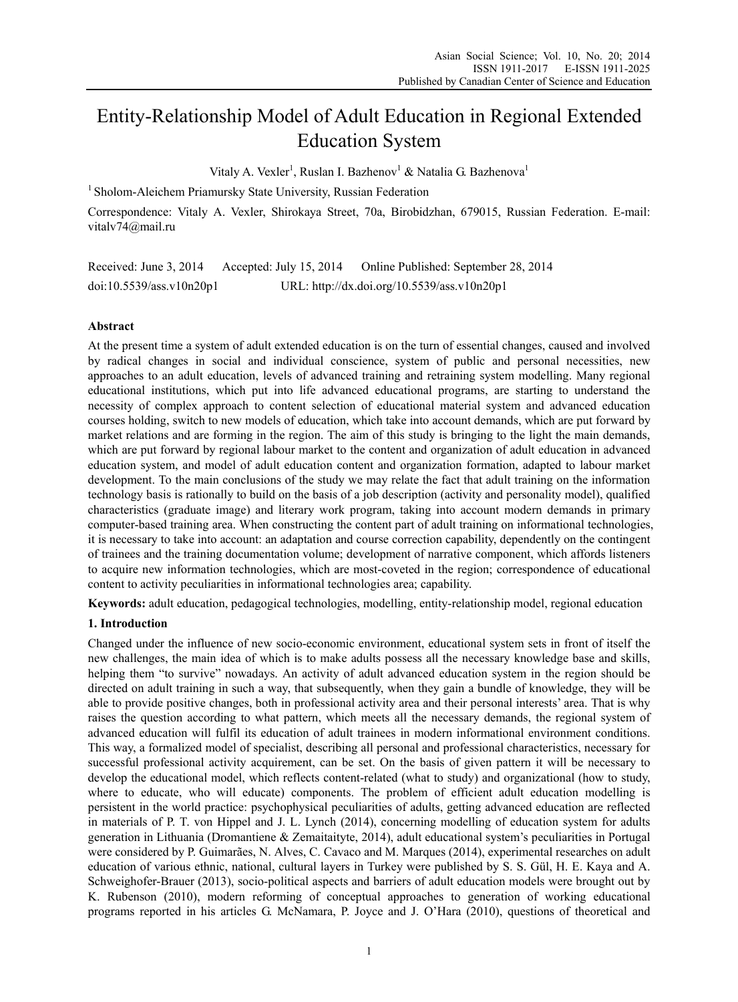# Entity-Relationship Model of Adult Education in Regional Extended Education System

Vitaly A. Vexler<sup>1</sup>, Ruslan I. Bazhenov<sup>1</sup> & Natalia G. Bazhenova<sup>1</sup>

<sup>1</sup> Sholom-Aleichem Priamursky State University, Russian Federation

Correspondence: Vitaly A. Vexler, Shirokaya Street, 70a, Birobidzhan, 679015, Russian Federation. E-mail: vitalv74@mail.ru

Received: June 3, 2014 Accepted: July 15, 2014 Online Published: September 28, 2014 doi:10.5539/ass.v10n20p1 URL: http://dx.doi.org/10.5539/ass.v10n20p1

# **Abstract**

At the present time a system of adult extended education is on the turn of essential changes, caused and involved by radical changes in social and individual conscience, system of public and personal necessities, new approaches to an adult education, levels of advanced training and retraining system modelling. Many regional educational institutions, which put into life advanced educational programs, are starting to understand the necessity of complex approach to content selection of educational material system and advanced education courses holding, switch to new models of education, which take into account demands, which are put forward by market relations and are forming in the region. The aim of this study is bringing to the light the main demands, which are put forward by regional labour market to the content and organization of adult education in advanced education system, and model of adult education content and organization formation, adapted to labour market development. To the main conclusions of the study we may relate the fact that adult training on the information technology basis is rationally to build on the basis of a job description (activity and personality model), qualified characteristics (graduate image) and literary work program, taking into account modern demands in primary computer-based training area. When constructing the content part of adult training on informational technologies, it is necessary to take into account: an adaptation and course correction capability, dependently on the contingent of trainees and the training documentation volume; development of narrative component, which affords listeners to acquire new information technologies, which are most-coveted in the region; correspondence of educational content to activity peculiarities in informational technologies area; capability.

**Keywords:** adult education, pedagogical technologies, modelling, entity-relationship model, regional education

# **1. Introduction**

Changed under the influence of new socio-economic environment, educational system sets in front of itself the new challenges, the main idea of which is to make adults possess all the necessary knowledge base and skills, helping them "to survive" nowadays. An activity of adult advanced education system in the region should be directed on adult training in such a way, that subsequently, when they gain a bundle of knowledge, they will be able to provide positive changes, both in professional activity area and their personal interests' area. That is why raises the question according to what pattern, which meets all the necessary demands, the regional system of advanced education will fulfil its education of adult trainees in modern informational environment conditions. This way, a formalized model of specialist, describing all personal and professional characteristics, necessary for successful professional activity acquirement, can be set. On the basis of given pattern it will be necessary to develop the educational model, which reflects content-related (what to study) and organizational (how to study, where to educate, who will educate) components. The problem of efficient adult education modelling is persistent in the world practice: psychophysical peculiarities of adults, getting advanced education are reflected in materials of P. T. von Hippel and J. L. Lynch (2014), concerning modelling of education system for adults generation in Lithuania (Dromantiene & Zemaitaityte, 2014), adult educational system's peculiarities in Portugal were considered by P. Guimarães, N. Alves, C. Cavaco and M. Marques (2014), experimental researches on adult education of various ethnic, national, cultural layers in Turkey were published by S. S. Gül, H. E. Kaya and A. Schweighofer-Brauer (2013), socio-political aspects and barriers of adult education models were brought out by K. Rubenson (2010), modern reforming of conceptual approaches to generation of working educational programs reported in his articles G. McNamara, P. Joyce and J. O'Hara (2010), questions of theoretical and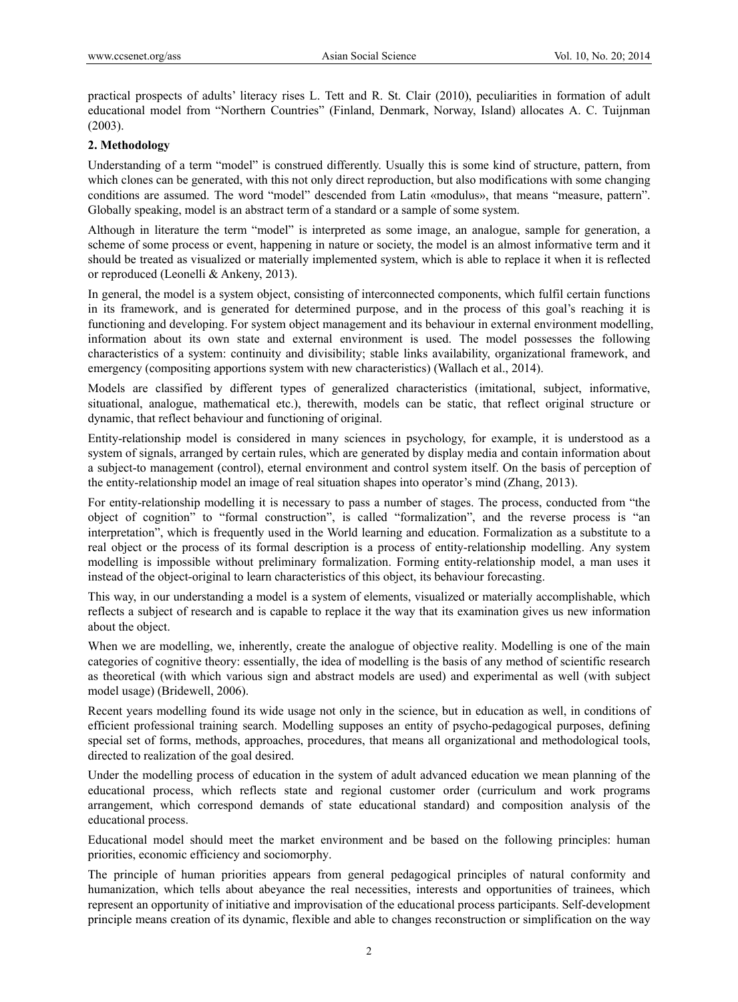practical prospects of adults' literacy rises L. Tett and R. St. Clair (2010), peculiarities in formation of adult educational model from "Northern Countries" (Finland, Denmark, Norway, Island) allocates A. C. Tuijnman (2003).

## **2. Methodology**

Understanding of a term "model" is construed differently. Usually this is some kind of structure, pattern, from which clones can be generated, with this not only direct reproduction, but also modifications with some changing conditions are assumed. The word "model" descended from Latin «modulus», that means "measure, pattern". Globally speaking, model is an abstract term of a standard or a sample of some system.

Although in literature the term "model" is interpreted as some image, an analogue, sample for generation, a scheme of some process or event, happening in nature or society, the model is an almost informative term and it should be treated as visualized or materially implemented system, which is able to replace it when it is reflected or reproduced (Leonelli & Ankeny, 2013).

In general, the model is a system object, consisting of interconnected components, which fulfil certain functions in its framework, and is generated for determined purpose, and in the process of this goal's reaching it is functioning and developing. For system object management and its behaviour in external environment modelling, information about its own state and external environment is used. The model possesses the following characteristics of a system: continuity and divisibility; stable links availability, organizational framework, and emergency (compositing apportions system with new characteristics) (Wallach et al., 2014).

Models are classified by different types of generalized characteristics (imitational, subject, informative, situational, analogue, mathematical etc.), therewith, models can be static, that reflect original structure or dynamic, that reflect behaviour and functioning of original.

Entity-relationship model is considered in many sciences in psychology, for example, it is understood as a system of signals, arranged by certain rules, which are generated by display media and contain information about a subject-to management (control), eternal environment and control system itself. On the basis of perception of the entity-relationship model an image of real situation shapes into operator's mind (Zhang, 2013).

For entity-relationship modelling it is necessary to pass a number of stages. The process, conducted from "the object of cognition" to "formal construction", is called "formalization", and the reverse process is "an interpretation", which is frequently used in the World learning and education. Formalization as a substitute to a real object or the process of its formal description is a process of entity-relationship modelling. Any system modelling is impossible without preliminary formalization. Forming entity-relationship model, a man uses it instead of the object-original to learn characteristics of this object, its behaviour forecasting.

This way, in our understanding a model is a system of elements, visualized or materially accomplishable, which reflects a subject of research and is capable to replace it the way that its examination gives us new information about the object.

When we are modelling, we, inherently, create the analogue of objective reality. Modelling is one of the main categories of cognitive theory: essentially, the idea of modelling is the basis of any method of scientific research as theoretical (with which various sign and abstract models are used) and experimental as well (with subject model usage) (Bridewell, 2006).

Recent years modelling found its wide usage not only in the science, but in education as well, in conditions of efficient professional training search. Modelling supposes an entity of psycho-pedagogical purposes, defining special set of forms, methods, approaches, procedures, that means all organizational and methodological tools, directed to realization of the goal desired.

Under the modelling process of education in the system of adult advanced education we mean planning of the educational process, which reflects state and regional customer order (curriculum and work programs arrangement, which correspond demands of state educational standard) and composition analysis of the educational process.

Educational model should meet the market environment and be based on the following principles: human priorities, economic efficiency and sociomorphy.

The principle of human priorities appears from general pedagogical principles of natural conformity and humanization, which tells about abeyance the real necessities, interests and opportunities of trainees, which represent an opportunity of initiative and improvisation of the educational process participants. Self-development principle means creation of its dynamic, flexible and able to changes reconstruction or simplification on the way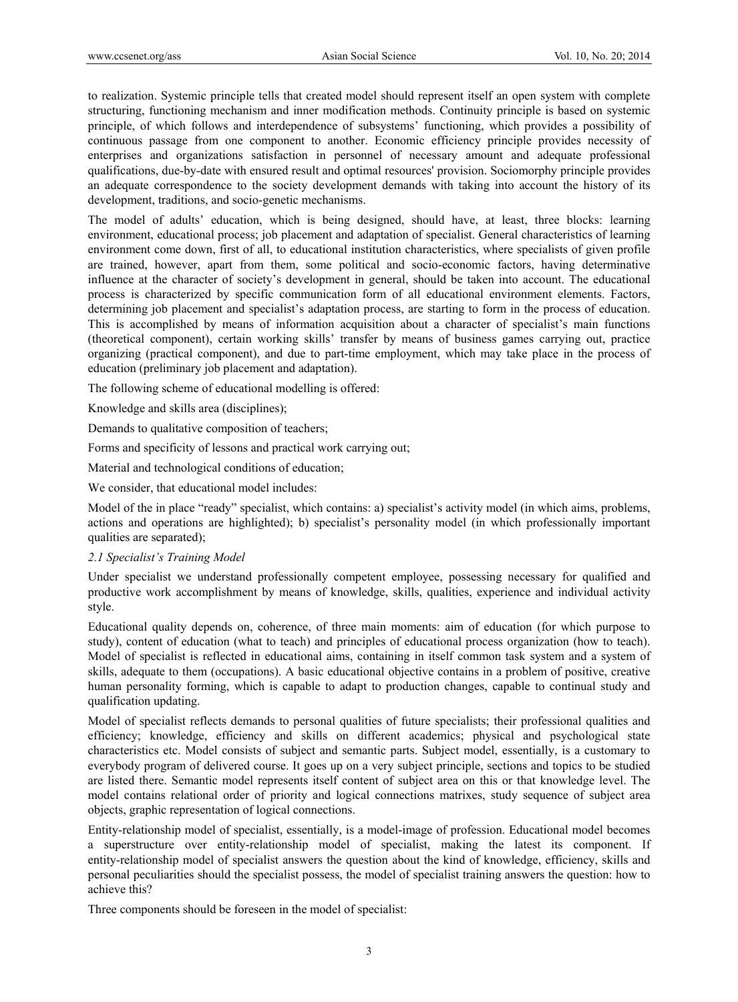to realization. Systemic principle tells that created model should represent itself an open system with complete structuring, functioning mechanism and inner modification methods. Continuity principle is based on systemic principle, of which follows and interdependence of subsystems' functioning, which provides a possibility of continuous passage from one component to another. Economic efficiency principle provides necessity of enterprises and organizations satisfaction in personnel of necessary amount and adequate professional qualifications, due-by-date with ensured result and optimal resources' provision. Sociomorphy principle provides an adequate correspondence to the society development demands with taking into account the history of its development, traditions, and socio-genetic mechanisms.

The model of adults' education, which is being designed, should have, at least, three blocks: learning environment, educational process; job placement and adaptation of specialist. General characteristics of learning environment come down, first of all, to educational institution characteristics, where specialists of given profile are trained, however, apart from them, some political and socio-economic factors, having determinative influence at the character of society's development in general, should be taken into account. The educational process is characterized by specific communication form of all educational environment elements. Factors, determining job placement and specialist's adaptation process, are starting to form in the process of education. This is accomplished by means of information acquisition about a character of specialist's main functions (theoretical component), certain working skills' transfer by means of business games carrying out, practice organizing (practical component), and due to part-time employment, which may take place in the process of education (preliminary job placement and adaptation).

The following scheme of educational modelling is offered:

Knowledge and skills area (disciplines);

Demands to qualitative composition of teachers;

Forms and specificity of lessons and practical work carrying out;

Material and technological conditions of education;

We consider, that educational model includes:

Model of the in place "ready" specialist, which contains: a) specialist's activity model (in which aims, problems, actions and operations are highlighted); b) specialist's personality model (in which professionally important qualities are separated);

#### *2.1 Specialist's Training Model*

Under specialist we understand professionally competent employee, possessing necessary for qualified and productive work accomplishment by means of knowledge, skills, qualities, experience and individual activity style.

Educational quality depends on, coherence, of three main moments: aim of education (for which purpose to study), content of education (what to teach) and principles of educational process organization (how to teach). Model of specialist is reflected in educational aims, containing in itself common task system and a system of skills, adequate to them (occupations). A basic educational objective contains in a problem of positive, creative human personality forming, which is capable to adapt to production changes, capable to continual study and qualification updating.

Model of specialist reflects demands to personal qualities of future specialists; their professional qualities and efficiency; knowledge, efficiency and skills on different academics; physical and psychological state characteristics etc. Model consists of subject and semantic parts. Subject model, essentially, is a customary to everybody program of delivered course. It goes up on a very subject principle, sections and topics to be studied are listed there. Semantic model represents itself content of subject area on this or that knowledge level. The model contains relational order of priority and logical connections matrixes, study sequence of subject area objects, graphic representation of logical connections.

Entity-relationship model of specialist, essentially, is a model-image of profession. Educational model becomes a superstructure over entity-relationship model of specialist, making the latest its component. If entity-relationship model of specialist answers the question about the kind of knowledge, efficiency, skills and personal peculiarities should the specialist possess, the model of specialist training answers the question: how to achieve this?

Three components should be foreseen in the model of specialist: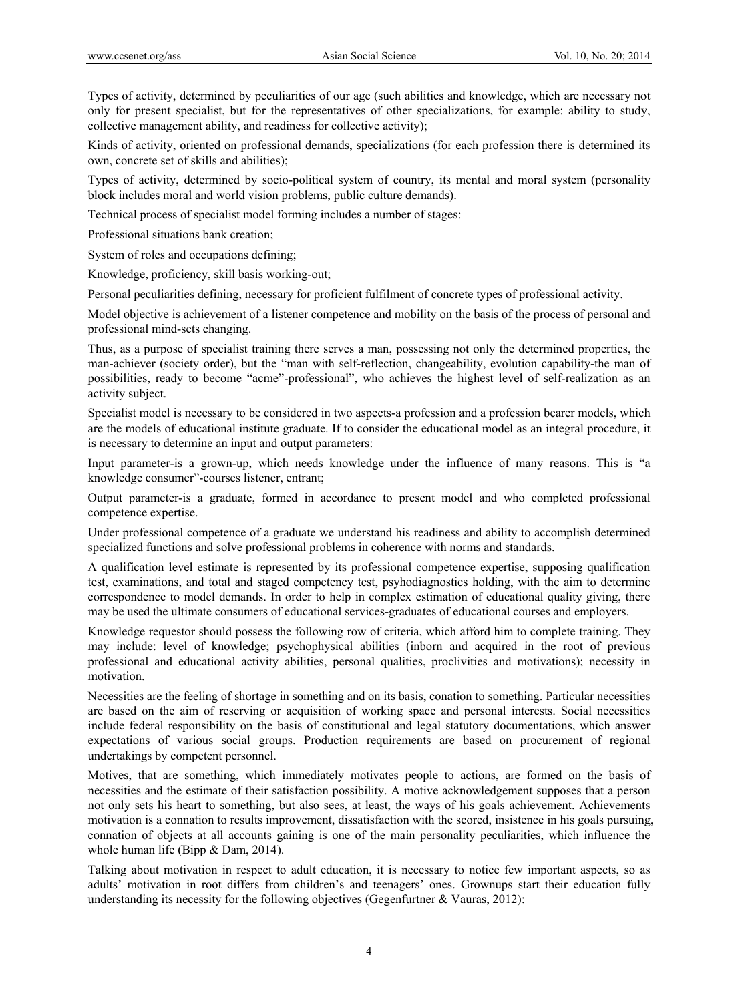Types of activity, determined by peculiarities of our age (such abilities and knowledge, which are necessary not only for present specialist, but for the representatives of other specializations, for example: ability to study, collective management ability, and readiness for collective activity);

Kinds of activity, oriented on professional demands, specializations (for each profession there is determined its own, concrete set of skills and abilities);

Types of activity, determined by socio-political system of country, its mental and moral system (personality block includes moral and world vision problems, public culture demands).

Technical process of specialist model forming includes a number of stages:

Professional situations bank creation;

System of roles and occupations defining;

Knowledge, proficiency, skill basis working-out;

Personal peculiarities defining, necessary for proficient fulfilment of concrete types of professional activity.

Model objective is achievement of a listener competence and mobility on the basis of the process of personal and professional mind-sets changing.

Thus, as a purpose of specialist training there serves a man, possessing not only the determined properties, the man-achiever (society order), but the "man with self-reflection, changeability, evolution capability-the man of possibilities, ready to become "acme"-professional", who achieves the highest level of self-realization as an activity subject.

Specialist model is necessary to be considered in two aspects-a profession and a profession bearer models, which are the models of educational institute graduate. If to consider the educational model as an integral procedure, it is necessary to determine an input and output parameters:

Input parameter-is a grown-up, which needs knowledge under the influence of many reasons. This is "a knowledge consumer"-courses listener, entrant;

Output parameter-is a graduate, formed in accordance to present model and who completed professional competence expertise.

Under professional competence of a graduate we understand his readiness and ability to accomplish determined specialized functions and solve professional problems in coherence with norms and standards.

A qualification level estimate is represented by its professional competence expertise, supposing qualification test, examinations, and total and staged competency test, psyhodiagnostics holding, with the aim to determine correspondence to model demands. In order to help in complex estimation of educational quality giving, there may be used the ultimate consumers of educational services-graduates of educational courses and employers.

Knowledge requestor should possess the following row of criteria, which afford him to complete training. They may include: level of knowledge; psychophysical abilities (inborn and acquired in the root of previous professional and educational activity abilities, personal qualities, proclivities and motivations); necessity in motivation.

Necessities are the feeling of shortage in something and on its basis, conation to something. Particular necessities are based on the aim of reserving or acquisition of working space and personal interests. Social necessities include federal responsibility on the basis of constitutional and legal statutory documentations, which answer expectations of various social groups. Production requirements are based on procurement of regional undertakings by competent personnel.

Motives, that are something, which immediately motivates people to actions, are formed on the basis of necessities and the estimate of their satisfaction possibility. A motive acknowledgement supposes that a person not only sets his heart to something, but also sees, at least, the ways of his goals achievement. Achievements motivation is a connation to results improvement, dissatisfaction with the scored, insistence in his goals pursuing, connation of objects at all accounts gaining is one of the main personality peculiarities, which influence the whole human life (Bipp & Dam, 2014).

Talking about motivation in respect to adult education, it is necessary to notice few important aspects, so as adults' motivation in root differs from children's and teenagers' ones. Grownups start their education fully understanding its necessity for the following objectives (Gegenfurtner  $& Vauras, 2012$ ):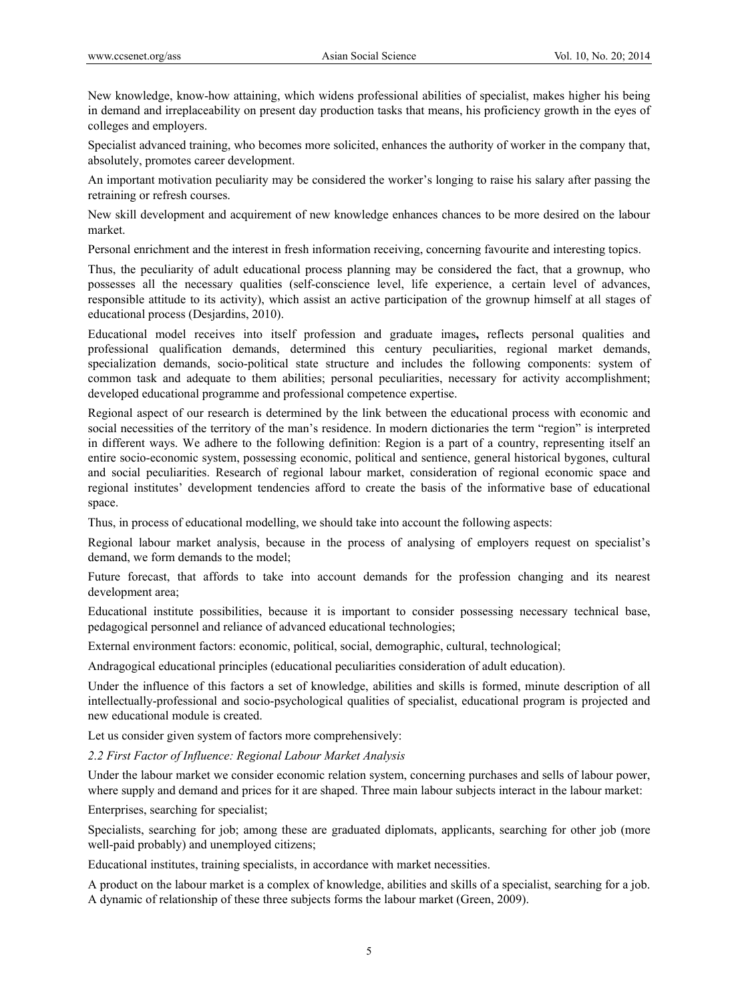New knowledge, know-how attaining, which widens professional abilities of specialist, makes higher his being in demand and irreplaceability on present day production tasks that means, his proficiency growth in the eyes of colleges and employers.

Specialist advanced training, who becomes more solicited, enhances the authority of worker in the company that, absolutely, promotes career development.

An important motivation peculiarity may be considered the worker's longing to raise his salary after passing the retraining or refresh courses.

New skill development and acquirement of new knowledge enhances chances to be more desired on the labour market.

Personal enrichment and the interest in fresh information receiving, concerning favourite and interesting topics.

Thus, the peculiarity of adult educational process planning may be considered the fact, that a grownup, who possesses all the necessary qualities (self-conscience level, life experience, a certain level of advances, responsible attitude to its activity), which assist an active participation of the grownup himself at all stages of educational process (Desjardins, 2010).

Educational model receives into itself profession and graduate images**,** reflects personal qualities and professional qualification demands, determined this century peculiarities, regional market demands, specialization demands, socio-political state structure and includes the following components: system of common task and adequate to them abilities; personal peculiarities, necessary for activity accomplishment; developed educational programme and professional competence expertise.

Regional aspect of our research is determined by the link between the educational process with economic and social necessities of the territory of the man's residence. In modern dictionaries the term "region" is interpreted in different ways. We adhere to the following definition: Region is a part of a country, representing itself an entire socio-economic system, possessing economic, political and sentience, general historical bygones, cultural and social peculiarities. Research of regional labour market, consideration of regional economic space and regional institutes' development tendencies afford to create the basis of the informative base of educational space.

Thus, in process of educational modelling, we should take into account the following aspects:

Regional labour market analysis, because in the process of analysing of employers request on specialist's demand, we form demands to the model;

Future forecast, that affords to take into account demands for the profession changing and its nearest development area;

Educational institute possibilities, because it is important to consider possessing necessary technical base, pedagogical personnel and reliance of advanced educational technologies;

External environment factors: economic, political, social, demographic, cultural, technological;

Andragogical educational principles (educational peculiarities consideration of adult education).

Under the influence of this factors a set of knowledge, abilities and skills is formed, minute description of all intellectually-professional and socio-psychological qualities of specialist, educational program is projected and new educational module is created.

Let us consider given system of factors more comprehensively:

## *2.2 First Factor of Influence: Regional Labour Market Analysis*

Under the labour market we consider economic relation system, concerning purchases and sells of labour power, where supply and demand and prices for it are shaped. Three main labour subjects interact in the labour market:

Enterprises, searching for specialist;

Specialists, searching for job; among these are graduated diplomats, applicants, searching for other job (more well-paid probably) and unemployed citizens;

Educational institutes, training specialists, in accordance with market necessities.

A product on the labour market is a complex of knowledge, abilities and skills of a specialist, searching for a job. A dynamic of relationship of these three subjects forms the labour market (Green, 2009).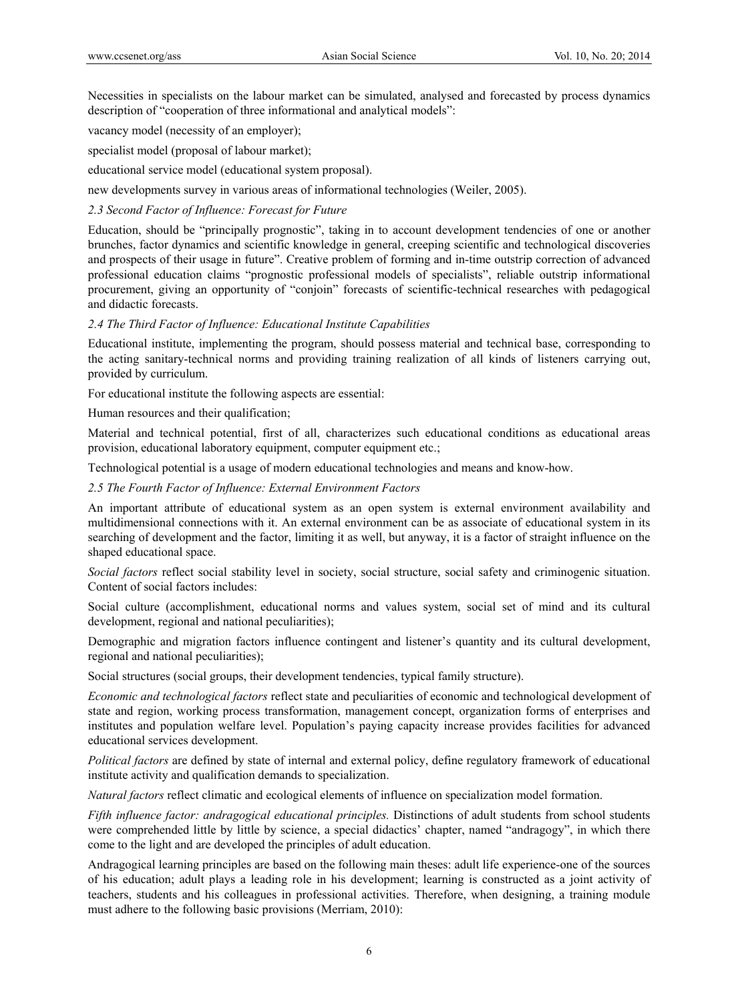Necessities in specialists on the labour market can be simulated, analysed and forecasted by process dynamics description of "cooperation of three informational and analytical models":

vacancy model (necessity of an employer);

specialist model (proposal of labour market);

educational service model (educational system proposal).

new developments survey in various areas of informational technologies (Weiler, 2005).

*2.3 Second Factor of Influence: Forecast for Future* 

Education, should be "principally prognostic", taking in to account development tendencies of one or another brunches, factor dynamics and scientific knowledge in general, creeping scientific and technological discoveries and prospects of their usage in future". Creative problem of forming and in-time outstrip correction of advanced professional education claims "prognostic professional models of specialists", reliable outstrip informational procurement, giving an opportunity of "conjoin" forecasts of scientific-technical researches with pedagogical and didactic forecasts.

#### *2.4 The Third Factor of Influence: Educational Institute Capabilities*

Educational institute, implementing the program, should possess material and technical base, corresponding to the acting sanitary-technical norms and providing training realization of all kinds of listeners carrying out, provided by curriculum.

For educational institute the following aspects are essential:

Human resources and their qualification;

Material and technical potential, first of all, characterizes such educational conditions as educational areas provision, educational laboratory equipment, computer equipment etc.;

Technological potential is a usage of modern educational technologies and means and know-how.

*2.5 The Fourth Factor of Influence: External Environment Factors* 

An important attribute of educational system as an open system is external environment availability and multidimensional connections with it. An external environment can be as associate of educational system in its searching of development and the factor, limiting it as well, but anyway, it is a factor of straight influence on the shaped educational space.

*Social factors* reflect social stability level in society, social structure, social safety and criminogenic situation. Content of social factors includes:

Social culture (accomplishment, educational norms and values system, social set of mind and its cultural development, regional and national peculiarities);

Demographic and migration factors influence contingent and listener's quantity and its cultural development, regional and national peculiarities);

Social structures (social groups, their development tendencies, typical family structure).

*Economic and technological factors* reflect state and peculiarities of economic and technological development of state and region, working process transformation, management concept, organization forms of enterprises and institutes and population welfare level. Population's paying capacity increase provides facilities for advanced educational services development.

*Political factors* are defined by state of internal and external policy, define regulatory framework of educational institute activity and qualification demands to specialization.

*Natural factors* reflect climatic and ecological elements of influence on specialization model formation.

*Fifth influence factor: andragogical educational principles.* Distinctions of adult students from school students were comprehended little by little by science, a special didactics' chapter, named "andragogy", in which there come to the light and are developed the principles of adult education.

Andragogical learning principles are based on the following main theses: adult life experience-one of the sources of his education; adult plays a leading role in his development; learning is constructed as a joint activity of teachers, students and his colleagues in professional activities. Therefore, when designing, a training module must adhere to the following basic provisions (Merriam, 2010):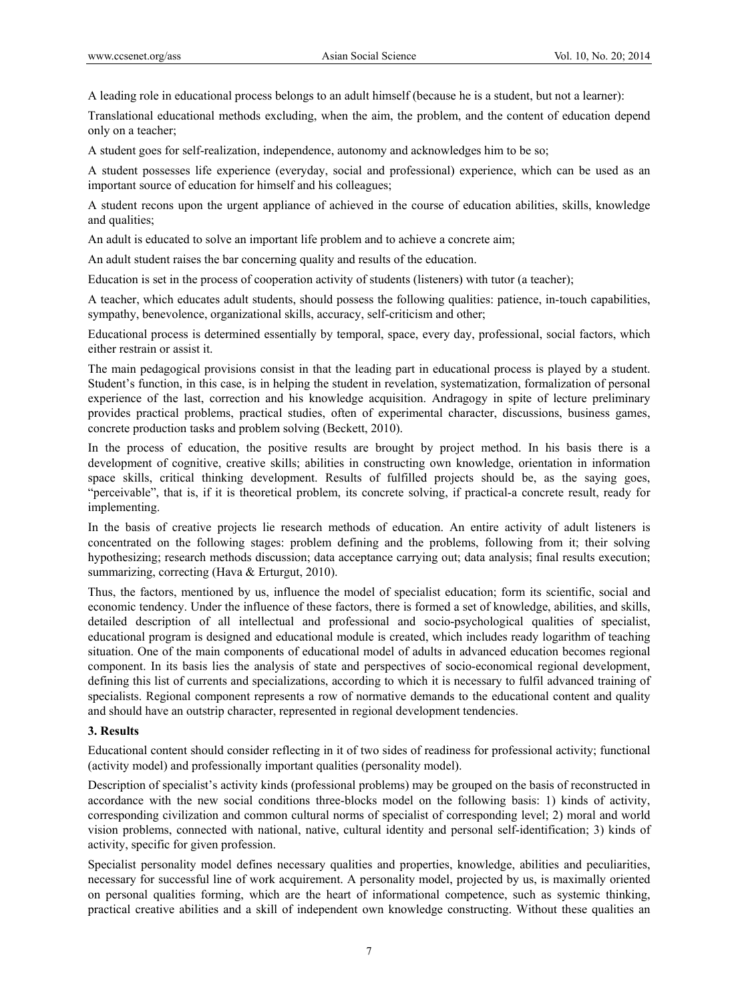A leading role in educational process belongs to an adult himself (because he is a student, but not a learner):

Translational educational methods excluding, when the aim, the problem, and the content of education depend only on a teacher;

A student goes for self-realization, independence, autonomy and acknowledges him to be so;

A student possesses life experience (everyday, social and professional) experience, which can be used as an important source of education for himself and his colleagues;

A student recons upon the urgent appliance of achieved in the course of education abilities, skills, knowledge and qualities;

An adult is educated to solve an important life problem and to achieve a concrete aim;

An adult student raises the bar concerning quality and results of the education.

Education is set in the process of cooperation activity of students (listeners) with tutor (a teacher);

A teacher, which educates adult students, should possess the following qualities: patience, in-touch capabilities, sympathy, benevolence, organizational skills, accuracy, self-criticism and other;

Educational process is determined essentially by temporal, space, every day, professional, social factors, which either restrain or assist it.

The main pedagogical provisions consist in that the leading part in educational process is played by a student. Student's function, in this case, is in helping the student in revelation, systematization, formalization of personal experience of the last, correction and his knowledge acquisition. Andragogy in spite of lecture preliminary provides practical problems, practical studies, often of experimental character, discussions, business games, concrete production tasks and problem solving (Beckett, 2010).

In the process of education, the positive results are brought by project method. In his basis there is a development of cognitive, creative skills; abilities in constructing own knowledge, orientation in information space skills, critical thinking development. Results of fulfilled projects should be, as the saying goes, "perceivable", that is, if it is theoretical problem, its concrete solving, if practical-a concrete result, ready for implementing.

In the basis of creative projects lie research methods of education. An entire activity of adult listeners is concentrated on the following stages: problem defining and the problems, following from it; their solving hypothesizing; research methods discussion; data acceptance carrying out; data analysis; final results execution; summarizing, correcting (Hava & Erturgut, 2010).

Thus, the factors, mentioned by us, influence the model of specialist education; form its scientific, social and economic tendency. Under the influence of these factors, there is formed a set of knowledge, abilities, and skills, detailed description of all intellectual and professional and socio-psychological qualities of specialist, educational program is designed and educational module is created, which includes ready logarithm of teaching situation. One of the main components of educational model of adults in advanced education becomes regional component. In its basis lies the analysis of state and perspectives of socio-economical regional development, defining this list of currents and specializations, according to which it is necessary to fulfil advanced training of specialists. Regional component represents a row of normative demands to the educational content and quality and should have an outstrip character, represented in regional development tendencies.

### **3. Results**

Educational content should consider reflecting in it of two sides of readiness for professional activity; functional (activity model) and professionally important qualities (personality model).

Description of specialist's activity kinds (professional problems) may be grouped on the basis of reconstructed in accordance with the new social conditions three-blocks model on the following basis: 1) kinds of activity, corresponding civilization and common cultural norms of specialist of corresponding level; 2) moral and world vision problems, connected with national, native, cultural identity and personal self-identification; 3) kinds of activity, specific for given profession.

Specialist personality model defines necessary qualities and properties, knowledge, abilities and peculiarities, necessary for successful line of work acquirement. A personality model, projected by us, is maximally oriented on personal qualities forming, which are the heart of informational competence, such as systemic thinking, practical creative abilities and a skill of independent own knowledge constructing. Without these qualities an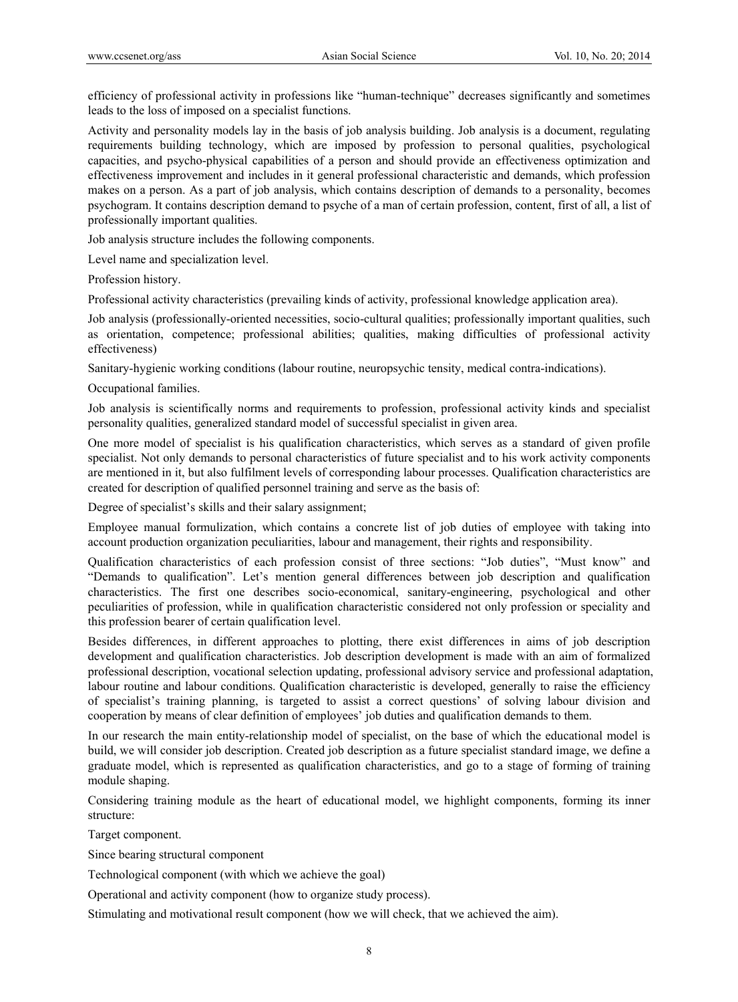efficiency of professional activity in professions like "human-technique" decreases significantly and sometimes leads to the loss of imposed on a specialist functions.

Activity and personality models lay in the basis of job analysis building. Job analysis is a document, regulating requirements building technology, which are imposed by profession to personal qualities, psychological capacities, and psycho-physical capabilities of a person and should provide an effectiveness optimization and effectiveness improvement and includes in it general professional characteristic and demands, which profession makes on a person. As a part of job analysis, which contains description of demands to a personality, becomes psychogram. It contains description demand to psyche of a man of certain profession, content, first of all, a list of professionally important qualities.

Job analysis structure includes the following components.

Level name and specialization level.

Profession history.

Professional activity characteristics (prevailing kinds of activity, professional knowledge application area).

Job analysis (professionally-oriented necessities, socio-cultural qualities; professionally important qualities, such as orientation, competence; professional abilities; qualities, making difficulties of professional activity effectiveness)

Sanitary-hygienic working conditions (labour routine, neuropsychic tensity, medical contra-indications).

Occupational families.

Job analysis is scientifically norms and requirements to profession, professional activity kinds and specialist personality qualities, generalized standard model of successful specialist in given area.

One more model of specialist is his qualification characteristics, which serves as a standard of given profile specialist. Not only demands to personal characteristics of future specialist and to his work activity components are mentioned in it, but also fulfilment levels of corresponding labour processes. Qualification characteristics are created for description of qualified personnel training and serve as the basis of:

Degree of specialist's skills and their salary assignment;

Employee manual formulization, which contains a concrete list of job duties of employee with taking into account production organization peculiarities, labour and management, their rights and responsibility.

Qualification characteristics of each profession consist of three sections: "Job duties", "Must know" and "Demands to qualification". Let's mention general differences between job description and qualification characteristics. The first one describes socio-economical, sanitary-engineering, psychological and other peculiarities of profession, while in qualification characteristic considered not only profession or speciality and this profession bearer of certain qualification level.

Besides differences, in different approaches to plotting, there exist differences in aims of job description development and qualification characteristics. Job description development is made with an aim of formalized professional description, vocational selection updating, professional advisory service and professional adaptation, labour routine and labour conditions. Qualification characteristic is developed, generally to raise the efficiency of specialist's training planning, is targeted to assist a correct questions' of solving labour division and cooperation by means of clear definition of employees' job duties and qualification demands to them.

In our research the main entity-relationship model of specialist, on the base of which the educational model is build, we will consider job description. Created job description as a future specialist standard image, we define a graduate model, which is represented as qualification characteristics, and go to a stage of forming of training module shaping.

Considering training module as the heart of educational model, we highlight components, forming its inner structure:

Target component.

Since bearing structural component

Technological component (with which we achieve the goal)

Operational and activity component (how to organize study process).

Stimulating and motivational result component (how we will check, that we achieved the aim).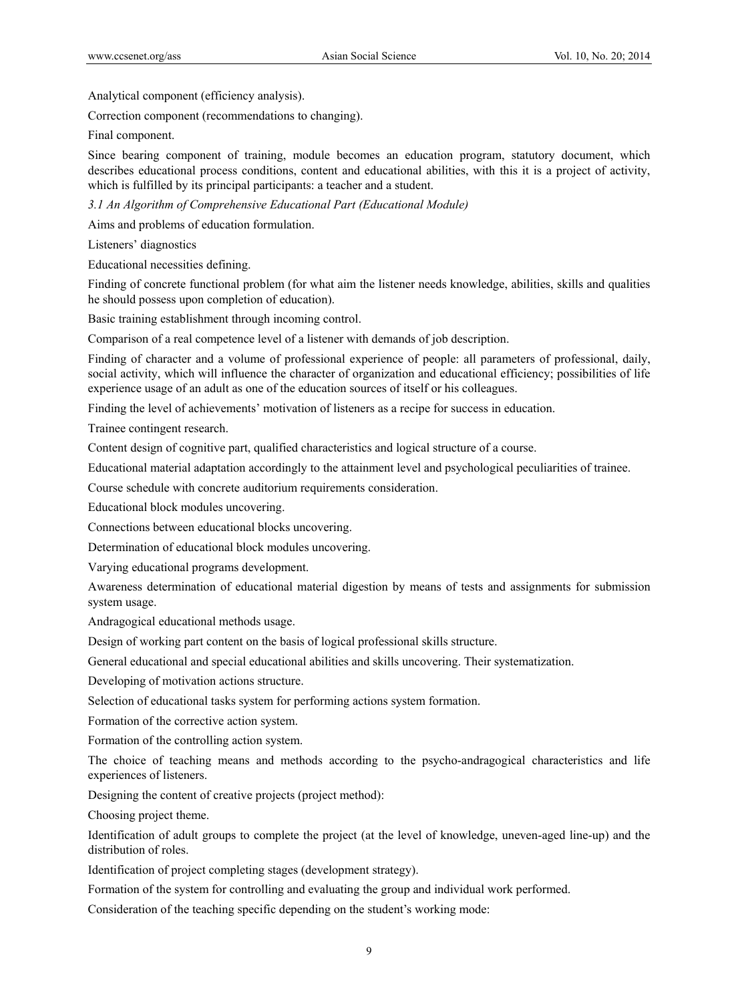Analytical component (efficiency analysis).

Correction component (recommendations to changing).

Final component.

Since bearing component of training, module becomes an education program, statutory document, which describes educational process conditions, content and educational abilities, with this it is a project of activity, which is fulfilled by its principal participants: a teacher and a student.

*3.1 An Algorithm of Comprehensive Educational Part (Educational Module)* 

Aims and problems of education formulation.

Listeners' diagnostics

Educational necessities defining.

Finding of concrete functional problem (for what aim the listener needs knowledge, abilities, skills and qualities he should possess upon completion of education).

Basic training establishment through incoming control.

Comparison of a real competence level of a listener with demands of job description.

Finding of character and a volume of professional experience of people: all parameters of professional, daily, social activity, which will influence the character of organization and educational efficiency; possibilities of life experience usage of an adult as one of the education sources of itself or his colleagues.

Finding the level of achievements' motivation of listeners as a recipe for success in education.

Trainee contingent research.

Content design of cognitive part, qualified characteristics and logical structure of a course.

Educational material adaptation accordingly to the attainment level and psychological peculiarities of trainee.

Course schedule with concrete auditorium requirements consideration.

Educational block modules uncovering.

Connections between educational blocks uncovering.

Determination of educational block modules uncovering.

Varying educational programs development.

Awareness determination of educational material digestion by means of tests and assignments for submission system usage.

Andragogical educational methods usage.

Design of working part content on the basis of logical professional skills structure.

General educational and special educational abilities and skills uncovering. Their systematization.

Developing of motivation actions structure.

Selection of educational tasks system for performing actions system formation.

Formation of the corrective action system.

Formation of the controlling action system.

The choice of teaching means and methods according to the psycho-andragogical characteristics and life experiences of listeners.

Designing the content of creative projects (project method):

Choosing project theme.

Identification of adult groups to complete the project (at the level of knowledge, uneven-aged line-up) and the distribution of roles.

Identification of project completing stages (development strategy).

Formation of the system for controlling and evaluating the group and individual work performed.

Consideration of the teaching specific depending on the student's working mode: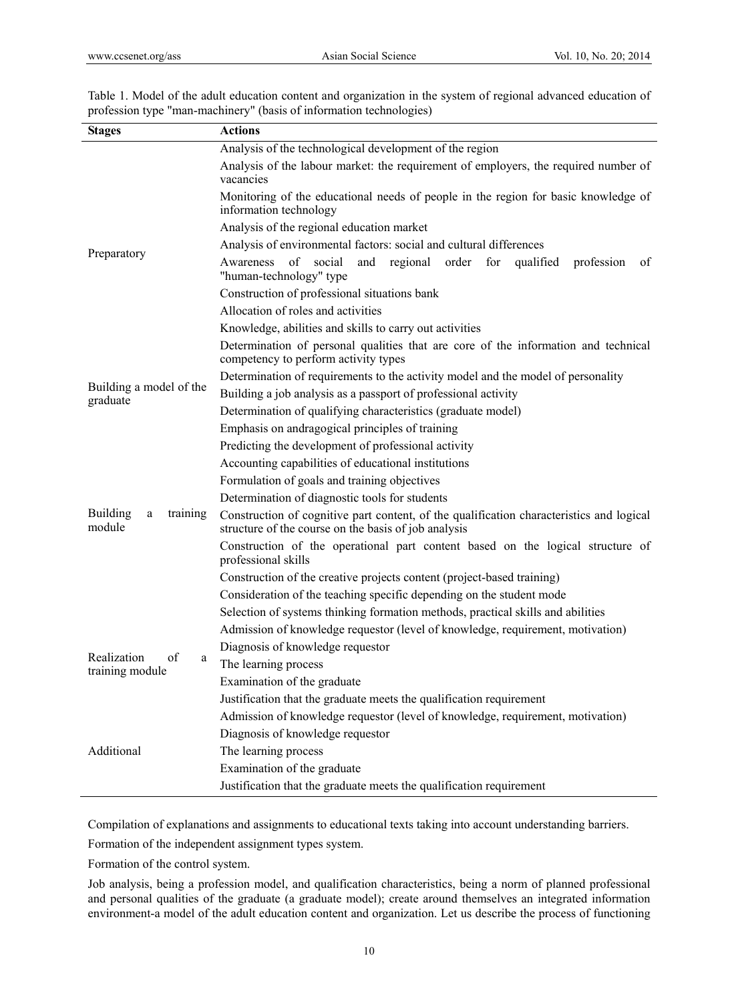| <b>Stages</b>                                           | <b>Actions</b>                                                                                                                                   |
|---------------------------------------------------------|--------------------------------------------------------------------------------------------------------------------------------------------------|
|                                                         | Analysis of the technological development of the region                                                                                          |
| Preparatory                                             | Analysis of the labour market: the requirement of employers, the required number of<br>vacancies                                                 |
|                                                         | Monitoring of the educational needs of people in the region for basic knowledge of<br>information technology                                     |
|                                                         | Analysis of the regional education market                                                                                                        |
|                                                         | Analysis of environmental factors: social and cultural differences                                                                               |
|                                                         | of social<br>regional<br>order<br>for<br>Awareness<br>and<br>qualified<br>profession<br>of<br>"human-technology" type                            |
|                                                         | Construction of professional situations bank                                                                                                     |
|                                                         | Allocation of roles and activities                                                                                                               |
|                                                         | Knowledge, abilities and skills to carry out activities                                                                                          |
|                                                         | Determination of personal qualities that are core of the information and technical<br>competency to perform activity types                       |
| Building a model of the<br>graduate                     | Determination of requirements to the activity model and the model of personality                                                                 |
|                                                         | Building a job analysis as a passport of professional activity                                                                                   |
|                                                         | Determination of qualifying characteristics (graduate model)                                                                                     |
|                                                         | Emphasis on andragogical principles of training                                                                                                  |
| <b>Building</b><br>training<br>a<br>module              | Predicting the development of professional activity                                                                                              |
|                                                         | Accounting capabilities of educational institutions                                                                                              |
|                                                         | Formulation of goals and training objectives                                                                                                     |
|                                                         | Determination of diagnostic tools for students                                                                                                   |
|                                                         | Construction of cognitive part content, of the qualification characteristics and logical<br>structure of the course on the basis of job analysis |
|                                                         | Construction of the operational part content based on the logical structure of<br>professional skills                                            |
|                                                         | Construction of the creative projects content (project-based training)                                                                           |
|                                                         | Consideration of the teaching specific depending on the student mode                                                                             |
|                                                         | Selection of systems thinking formation methods, practical skills and abilities                                                                  |
| Realization<br>of<br>a<br>training module<br>Additional | Admission of knowledge requestor (level of knowledge, requirement, motivation)                                                                   |
|                                                         | Diagnosis of knowledge requestor                                                                                                                 |
|                                                         | The learning process                                                                                                                             |
|                                                         | Examination of the graduate                                                                                                                      |
|                                                         | Justification that the graduate meets the qualification requirement                                                                              |
|                                                         | Admission of knowledge requestor (level of knowledge, requirement, motivation)                                                                   |
|                                                         | Diagnosis of knowledge requestor                                                                                                                 |
|                                                         | The learning process                                                                                                                             |
|                                                         | Examination of the graduate                                                                                                                      |
|                                                         | Justification that the graduate meets the qualification requirement                                                                              |

Table 1. Model of the adult education content and organization in the system of regional advanced education of profession type "man-machinery" (basis of information technologies)

Compilation of explanations and assignments to educational texts taking into account understanding barriers.

Formation of the independent assignment types system.

Formation of the control system.

Job analysis, being a profession model, and qualification characteristics, being a norm of planned professional and personal qualities of the graduate (a graduate model); create around themselves an integrated information environment-a model of the adult education content and organization. Let us describe the process of functioning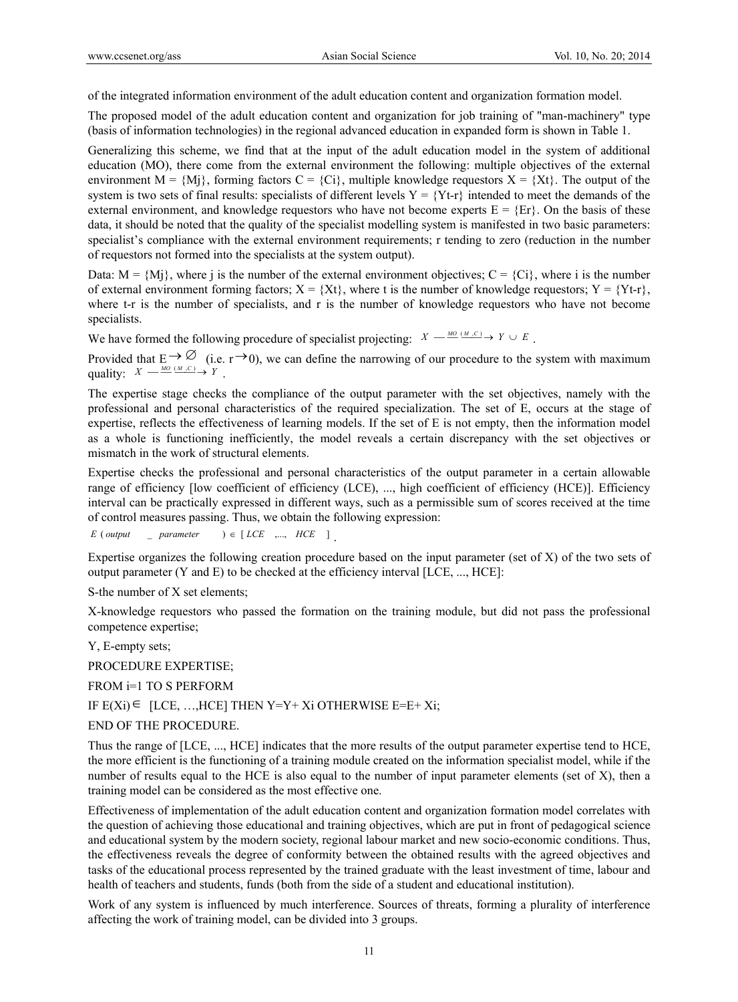of the integrated information environment of the adult education content and organization formation model.

The proposed model of the adult education content and organization for job training of "man-machinery" type (basis of information technologies) in the regional advanced education in expanded form is shown in Table 1.

Generalizing this scheme, we find that at the input of the adult education model in the system of additional education (MO), there come from the external environment the following: multiple objectives of the external environment  $M = {M<sub>i</sub>}$ , forming factors  $C = {C<sub>i</sub>}$ , multiple knowledge requestors  $X = {X<sub>t</sub>}$ . The output of the system is two sets of final results: specialists of different levels  $Y = \{Yt-r\}$  intended to meet the demands of the external environment, and knowledge requestors who have not become experts  $E = \{Er\}$ . On the basis of these data, it should be noted that the quality of the specialist modelling system is manifested in two basic parameters: specialist's compliance with the external environment requirements; r tending to zero (reduction in the number of requestors not formed into the specialists at the system output).

Data:  $M = \{M_i\}$ , where j is the number of the external environment objectives;  $C = \{Ci\}$ , where i is the number of external environment forming factors;  $X = \{Xt\}$ , where t is the number of knowledge requestors;  $Y = \{Yt-t\}$ , where t-r is the number of specialists, and r is the number of knowledge requestors who have not become specialists.

We have formed the following procedure of specialist projecting:  $X \xrightarrow{MO(M,C)} Y \cup E$ .

Provided that  $E \rightarrow \emptyset$  (i.e.  $r \rightarrow 0$ ), we can define the narrowing of our procedure to the system with maximum quality:  $X \xrightarrow{MO} \xrightarrow{(M,C)} Y$ .

The expertise stage checks the compliance of the output parameter with the set objectives, namely with the professional and personal characteristics of the required specialization. The set of E, occurs at the stage of expertise, reflects the effectiveness of learning models. If the set of E is not empty, then the information model as a whole is functioning inefficiently, the model reveals a certain discrepancy with the set objectives or mismatch in the work of structural elements.

Expertise checks the professional and personal characteristics of the output parameter in a certain allowable range of efficiency [low coefficient of efficiency (LCE), ..., high coefficient of efficiency (HCE)]. Efficiency interval can be practically expressed in different ways, such as a permissible sum of scores received at the time of control measures passing. Thus, we obtain the following expression:

 $E$  ( *output* \_ *parameter* )  $\in$  [*LCE* ,..., *HCE* ]

Expertise organizes the following creation procedure based on the input parameter (set of X) of the two sets of output parameter (Y and E) to be checked at the efficiency interval [LCE, ..., HCE]:

S-the number of X set elements;

Х-knowledge requestors who passed the formation on the training module, but did not pass the professional competence expertise;

Y, E-empty sets; PROCEDURE EXPERTISE; FROM i=1 TO S PERFORM

IF  $E(X_i) \in [LCE, ..., HCE]$  THEN Y=Y+ Xi OTHERWISE E=E+ Xi;

END OF THE PROCEDURE.

Thus the range of [LCE, ..., HCE] indicates that the more results of the output parameter expertise tend to HCE, the more efficient is the functioning of a training module created on the information specialist model, while if the number of results equal to the HCE is also equal to the number of input parameter elements (set of X), then a training model can be considered as the most effective one.

Effectiveness of implementation of the adult education content and organization formation model correlates with the question of achieving those educational and training objectives, which are put in front of pedagogical science and educational system by the modern society, regional labour market and new socio-economic conditions. Thus, the effectiveness reveals the degree of conformity between the obtained results with the agreed objectives and tasks of the educational process represented by the trained graduate with the least investment of time, labour and health of teachers and students, funds (both from the side of a student and educational institution).

Work of any system is influenced by much interference. Sources of threats, forming a plurality of interference affecting the work of training model, can be divided into 3 groups.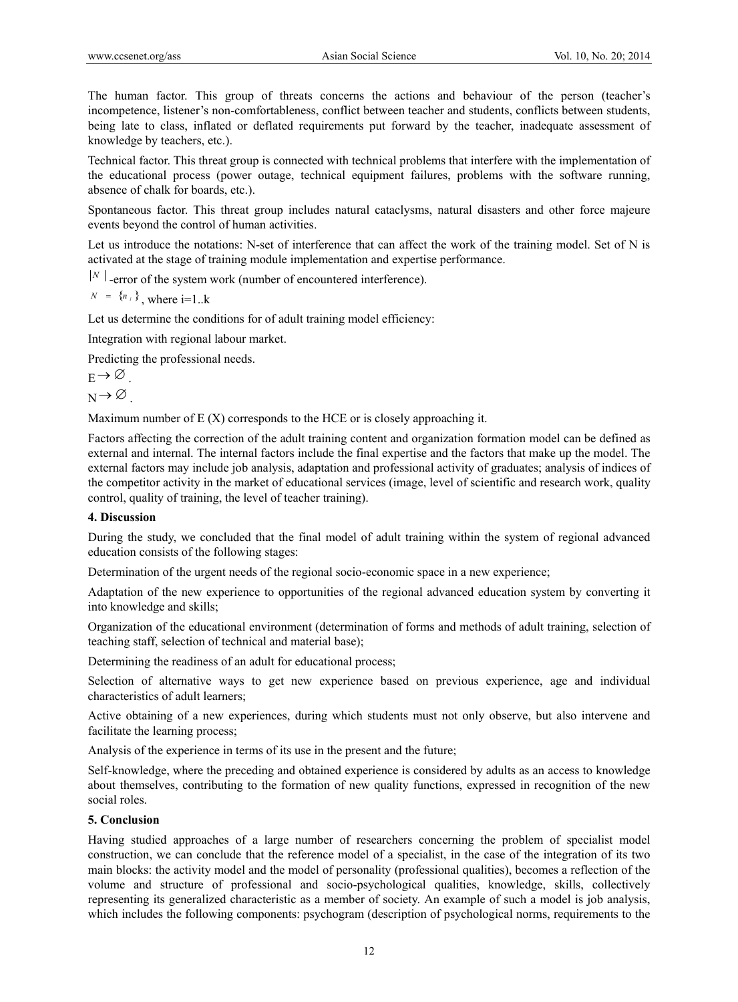The human factor. This group of threats concerns the actions and behaviour of the person (teacher's incompetence, listener's non-comfortableness, conflict between teacher and students, conflicts between students, being late to class, inflated or deflated requirements put forward by the teacher, inadequate assessment of knowledge by teachers, etc.).

Technical factor. This threat group is connected with technical problems that interfere with the implementation of the educational process (power outage, technical equipment failures, problems with the software running, absence of chalk for boards, etc.).

Spontaneous factor. This threat group includes natural cataclysms, natural disasters and other force majeure events beyond the control of human activities.

Let us introduce the notations: N-set of interference that can affect the work of the training model. Set of N is activated at the stage of training module implementation and expertise performance.

 $|N|$  -error of the system work (number of encountered interference).

$$
N = \{n_i\}, \text{where } i=1..k
$$

Let us determine the conditions for of adult training model efficiency:

Integration with regional labour market.

Predicting the professional needs.

 $E \rightarrow \varnothing$  $N \rightarrow \varnothing$ 

Maximum number of  $E(X)$  corresponds to the HCE or is closely approaching it.

Factors affecting the correction of the adult training content and organization formation model can be defined as external and internal. The internal factors include the final expertise and the factors that make up the model. The external factors may include job analysis, adaptation and professional activity of graduates; analysis of indices of the competitor activity in the market of educational services (image, level of scientific and research work, quality control, quality of training, the level of teacher training).

### **4. Discussion**

During the study, we concluded that the final model of adult training within the system of regional advanced education consists of the following stages:

Determination of the urgent needs of the regional socio-economic space in a new experience;

Adaptation of the new experience to opportunities of the regional advanced education system by converting it into knowledge and skills;

Organization of the educational environment (determination of forms and methods of adult training, selection of teaching staff, selection of technical and material base);

Determining the readiness of an adult for educational process;

Selection of alternative ways to get new experience based on previous experience, age and individual characteristics of adult learners;

Active obtaining of a new experiences, during which students must not only observe, but also intervene and facilitate the learning process;

Analysis of the experience in terms of its use in the present and the future;

Self-knowledge, where the preceding and obtained experience is considered by adults as an access to knowledge about themselves, contributing to the formation of new quality functions, expressed in recognition of the new social roles.

### **5. Conclusion**

Having studied approaches of a large number of researchers concerning the problem of specialist model construction, we can conclude that the reference model of a specialist, in the case of the integration of its two main blocks: the activity model and the model of personality (professional qualities), becomes a reflection of the volume and structure of professional and socio-psychological qualities, knowledge, skills, collectively representing its generalized characteristic as a member of society. An example of such a model is job analysis, which includes the following components: psychogram (description of psychological norms, requirements to the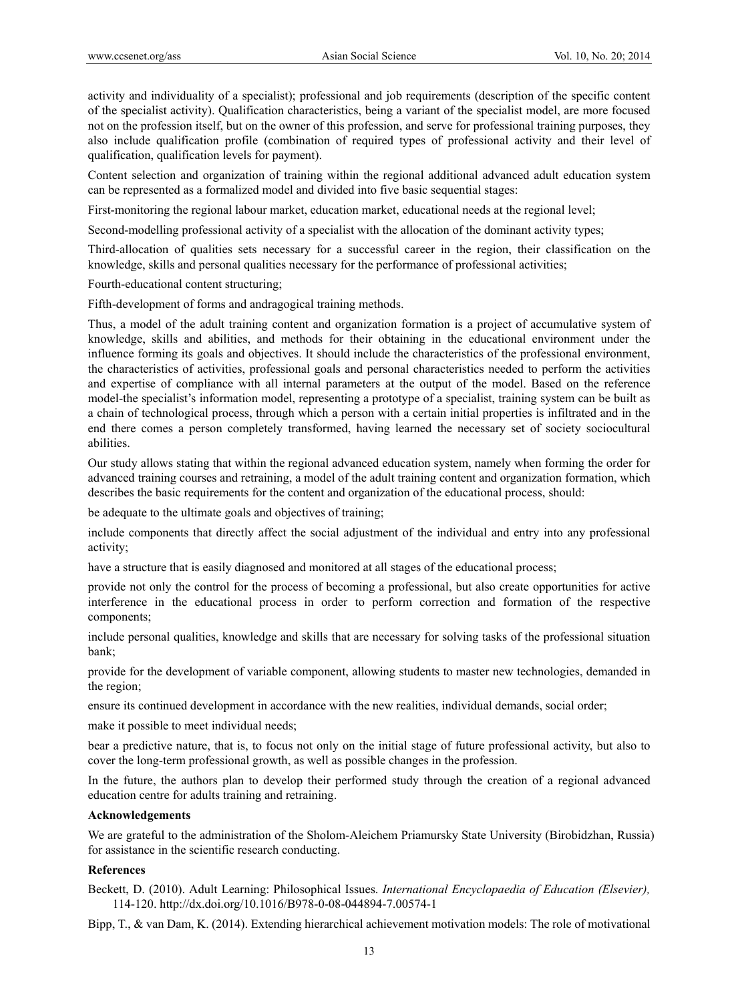activity and individuality of a specialist); professional and job requirements (description of the specific content of the specialist activity). Qualification characteristics, being a variant of the specialist model, are more focused not on the profession itself, but on the owner of this profession, and serve for professional training purposes, they also include qualification profile (combination of required types of professional activity and their level of qualification, qualification levels for payment).

Content selection and organization of training within the regional additional advanced adult education system can be represented as a formalized model and divided into five basic sequential stages:

First-monitoring the regional labour market, education market, educational needs at the regional level;

Second-modelling professional activity of a specialist with the allocation of the dominant activity types;

Third-allocation of qualities sets necessary for a successful career in the region, their classification on the knowledge, skills and personal qualities necessary for the performance of professional activities;

Fourth-educational content structuring;

Fifth-development of forms and andragogical training methods.

Thus, a model of the adult training content and organization formation is a project of accumulative system of knowledge, skills and abilities, and methods for their obtaining in the educational environment under the influence forming its goals and objectives. It should include the characteristics of the professional environment, the characteristics of activities, professional goals and personal characteristics needed to perform the activities and expertise of compliance with all internal parameters at the output of the model. Based on the reference model-the specialist's information model, representing a prototype of a specialist, training system can be built as a chain of technological process, through which a person with a certain initial properties is infiltrated and in the end there comes a person completely transformed, having learned the necessary set of society sociocultural abilities.

Our study allows stating that within the regional advanced education system, namely when forming the order for advanced training courses and retraining, a model of the adult training content and organization formation, which describes the basic requirements for the content and organization of the educational process, should:

be adequate to the ultimate goals and objectives of training;

include components that directly affect the social adjustment of the individual and entry into any professional activity;

have a structure that is easily diagnosed and monitored at all stages of the educational process;

provide not only the control for the process of becoming a professional, but also create opportunities for active interference in the educational process in order to perform correction and formation of the respective components;

include personal qualities, knowledge and skills that are necessary for solving tasks of the professional situation bank;

provide for the development of variable component, allowing students to master new technologies, demanded in the region;

ensure its continued development in accordance with the new realities, individual demands, social order;

make it possible to meet individual needs;

bear a predictive nature, that is, to focus not only on the initial stage of future professional activity, but also to cover the long-term professional growth, as well as possible changes in the profession.

In the future, the authors plan to develop their performed study through the creation of a regional advanced education centre for adults training and retraining.

#### **Acknowledgements**

We are grateful to the administration of the Sholom-Aleichem Priamursky State University (Birobidzhan, Russia) for assistance in the scientific research conducting.

### **References**

Beckett, D. (2010). Adult Learning: Philosophical Issues. *International Encyclopaedia of Education (Elsevier),* 114-120. http://dx.doi.org/10.1016/B978-0-08-044894-7.00574-1

Bipp, T., & van Dam, K. (2014). Extending hierarchical achievement motivation models: The role of motivational